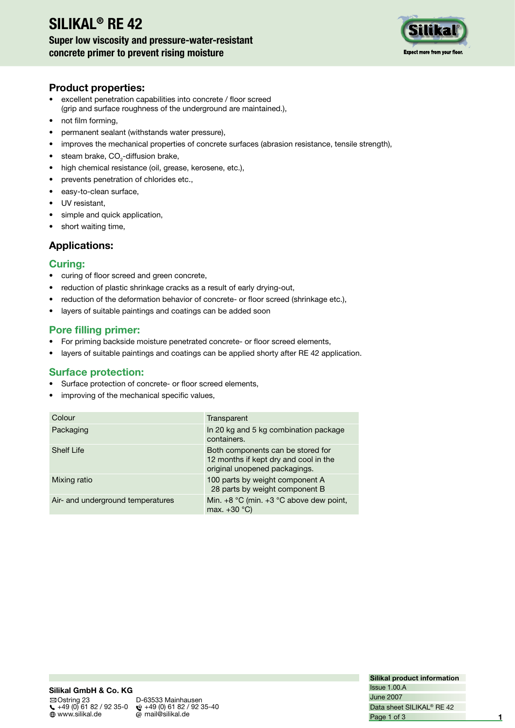# **SILIKAL® RE 42**

# **Super low viscosity and pressure-water-resistant concrete primer to prevent rising moisture**



### **Product properties:**

- excellent penetration capabilities into concrete / floor screed (grip and surface roughness of the underground are maintained.),
- not film forming.
- permanent sealant (withstands water pressure),
- improves the mechanical properties of concrete surfaces (abrasion resistance, tensile strength),
- steam brake,  $CO_{2}$ -diffusion brake,
- high chemical resistance (oil, grease, kerosene, etc.),
- prevents penetration of chlorides etc.,
- easy-to-clean surface,
- UV resistant,
- simple and quick application,
- short waiting time,

# **Applications:**

## **Curing:**

- curing of floor screed and green concrete,
- reduction of plastic shrinkage cracks as a result of early drying-out,
- reduction of the deformation behavior of concrete- or floor screed (shrinkage etc.),
- layers of suitable paintings and coatings can be added soon

# **Pore filling primer:**

- For priming backside moisture penetrated concrete- or floor screed elements,
- layers of suitable paintings and coatings can be applied shorty after RE 42 application.

#### **Surface protection:**

- Surface protection of concrete- or floor screed elements,
- improving of the mechanical specific values,

| Colour                            | Transparent                                                                                                 |
|-----------------------------------|-------------------------------------------------------------------------------------------------------------|
| Packaging                         | In 20 kg and 5 kg combination package<br>containers.                                                        |
| <b>Shelf Life</b>                 | Both components can be stored for<br>12 months if kept dry and cool in the<br>original unopened packagings. |
| Mixing ratio                      | 100 parts by weight component A<br>28 parts by weight component B                                           |
| Air- and underground temperatures | Min. $+8$ °C (min. $+3$ °C above dew point,<br>max. $+30$ °C)                                               |

**Silikal product information** June 2007 Issue 1.00.A Page 1 of 3 Data sheet SILIKAL® RE 42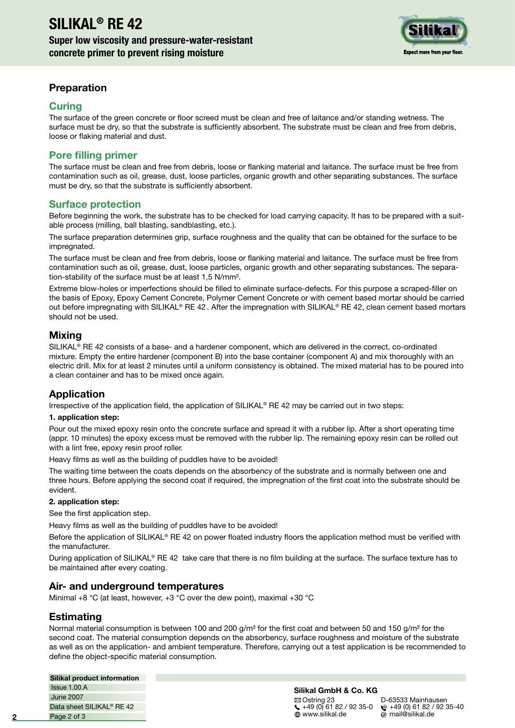

# **Preparation**

### **Curing**

The surface of the green concrete or floor screed must be clean and free of laitance and/or standing wetness. The surface must be dry, so that the substrate is sufficiently absorbent. The substrate must be clean and free from debris, loose or flaking material and dust.

# **Pore filling primer**

The surface must be clean and free from debris, loose or flanking material and laitance. The surface must be free from contamination such as oil, grease, dust, loose particles, organic growth and other separating substances. The surface must be dry, so that the substrate is sufficiently absorbent.

# **Surface protection**

Before beginning the work, the substrate has to be checked for load carrying capacity. It has to be prepared with a suitable process (milling, ball blasting, sandblasting, etc.).

The surface preparation determines grip, surface roughness and the quality that can be obtained for the surface to be impregnated.

The surface must be clean and free from debris, loose or flanking material and laitance. The surface must be free from contamination such as oil, grease, dust, loose particles, organic growth and other separating substances. The separation-stability of the surface must be at least 1,5 N/mm².

Extreme blow-holes or imperfections should be filled to eliminate surface-defects. For this purpose a scraped-filler on the basis of Epoxy, Epoxy Cement Concrete, Polymer Cement Concrete or with cement based mortar should be carried out before impregnating with SILIKAL® RE 42. After the impregnation with SILIKAL® RE 42, clean cement based mortars should not be used.

## **Mixing**

SILIKAL® RE 42 consists of a base- and a hardener component, which are delivered in the correct, co-ordinated mixture. Empty the entire hardener (component B) into the base container (component A) and mix thoroughly with an electric drill. Mix for at least 2 minutes until a uniform consistency is obtained. The mixed material has to be poured into a clean container and has to be mixed once again.

# **Application**

Irrespective of the application field, the application of SILIKAL® RE 42 may be carried out in two steps:

#### **1. application step:**

Pour out the mixed epoxy resin onto the concrete surface and spread it with a rubber lip. After a short operating time (appr. 10 minutes) the epoxy excess must be removed with the rubber lip. The remaining epoxy resin can be rolled out with a lint free, epoxy resin proof roller.

Heavy films as well as the building of puddles have to be avoided!

The waiting time between the coats depends on the absorbency of the substrate and is normally between one and three hours. Before applying the second coat if required, the impregnation of the first coat into the substrate should be evident.

#### **2. application step:**

See the first application step.

Heavy films as well as the building of puddles have to be avoided!

Before the application of SILIKAL® RE 42 on power floated industry floors the application method must be verified with the manufacturer.

During application of SILIKAL<sup>®</sup> RE 42 take care that there is no film building at the surface. The surface texture has to be maintained after every coating.

# **Air- and underground temperatures**

Minimal +8 °C (at least, however, +3 °C over the dew point), maximal +30 °C

# **Estimating**

Normal material consumption is between 100 and 200  $g/m^2$  for the first coat and between 50 and 150  $g/m^2$  for the second coat. The material consumption depends on the absorbency, surface roughness and moisture of the substrate as well as on the application- and ambient temperature. Therefore, carrying out a test application is be recommended to define the object-specific material consumption.

#### **Silikal product information**

June 2007 Issue 1.00.A Page 2 of 3 Data sheet SILIKAL® RE 42

#### **Silikal GmbH & Co. KG**

 $\boxtimes$  Ostring 23 D-63533 Mainhausen<br>
(49 (0) 61 82 / 92 35-0  $\circ$  +49 (0) 61 82 / 92 +49 (0) 61 82 / 92 35-0 +49 (0) 61 82 / 92 35-40

 $\omega$  mail@silikal.de